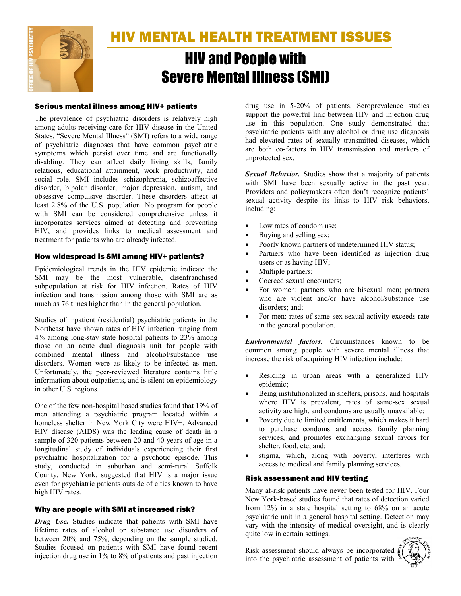

HIV MENTAL HEALTH TREATMENT ISSUES

# HIV and People with Severe Mental Illness (SMI)

## Serious mental illness among HIV+ patients

The prevalence of psychiatric disorders is relatively high among adults receiving care for HIV disease in the United States. "Severe Mental Illness" (SMI) refers to a wide range of psychiatric diagnoses that have common psychiatric symptoms which persist over time and are functionally disabling. They can affect daily living skills, family relations, educational attainment, work productivity, and social role. SMI includes schizophrenia, schizoaffective disorder, bipolar disorder, major depression, autism, and obsessive compulsive disorder. These disorders affect at least 2.8% of the U.S. population. No program for people with SMI can be considered comprehensive unless it incorporates services aimed at detecting and preventing HIV, and provides links to medical assessment and treatment for patients who are already infected.

## How widespread is SMI among HIV+ patients?

Epidemiological trends in the HIV epidemic indicate the SMI may be the most vulnerable, disenfranchised subpopulation at risk for HIV infection. Rates of HIV infection and transmission among those with SMI are as much as 76 times higher than in the general population.

Studies of inpatient (residential) psychiatric patients in the Northeast have shown rates of HIV infection ranging from 4% among long-stay state hospital patients to 23% among those on an acute dual diagnosis unit for people with combined mental illness and alcohol/substance use disorders. Women were as likely to be infected as men. Unfortunately, the peer-reviewed literature contains little information about outpatients, and is silent on epidemiology in other U.S. regions.

One of the few non-hospital based studies found that 19% of men attending a psychiatric program located within a homeless shelter in New York City were HIV+. Advanced HIV disease (AIDS) was the leading cause of death in a sample of 320 patients between 20 and 40 years of age in a longitudinal study of individuals experiencing their first psychiatric hospitalization for a psychotic episode. This study, conducted in suburban and semi-rural Suffolk County, New York, suggested that HIV is a major issue even for psychiatric patients outside of cities known to have high HIV rates.

# Why are people with SMI at increased risk?

*Drug Use.* Studies indicate that patients with SMI have lifetime rates of alcohol or substance use disorders of between 20% and 75%, depending on the sample studied. Studies focused on patients with SMI have found recent injection drug use in 1% to 8% of patients and past injection drug use in 5-20% of patients. Seroprevalence studies support the powerful link between HIV and injection drug use in this population. One study demonstrated that psychiatric patients with any alcohol or drug use diagnosis had elevated rates of sexually transmitted diseases, which are both co-factors in HIV transmission and markers of unprotected sex.

*Sexual Behavior.* Studies show that a majority of patients with SMI have been sexually active in the past year. Providers and policymakers often don't recognize patients' sexual activity despite its links to HIV risk behaviors, including:

- Low rates of condom use;
- Buying and selling sex;
- Poorly known partners of undetermined HIV status;
- Partners who have been identified as injection drug users or as having HIV;
- Multiple partners;
- Coerced sexual encounters;
- For women: partners who are bisexual men; partners who are violent and/or have alcohol/substance use disorders; and;
- For men: rates of same-sex sexual activity exceeds rate in the general population.

*Environmental factors.* Circumstances known to be common among people with severe mental illness that increase the risk of acquiring HIV infection include:

- Residing in urban areas with a generalized HIV epidemic;
- Being institutionalized in shelters, prisons, and hospitals where HIV is prevalent, rates of same-sex sexual activity are high, and condoms are usually unavailable;
- Poverty due to limited entitlements, which makes it hard to purchase condoms and access family planning services, and promotes exchanging sexual favors for shelter, food, etc; and;
- stigma, which, along with poverty, interferes with access to medical and family planning services.

# Risk assessment and HIV testing

Many at-risk patients have never been tested for HIV. Four New York-based studies found that rates of detection varied from 12% in a state hospital setting to 68% on an acute psychiatric unit in a general hospital setting. Detection may vary with the intensity of medical oversight, and is clearly quite low in certain settings.

Risk assessment should always be incorporated into the psychiatric assessment of patients with